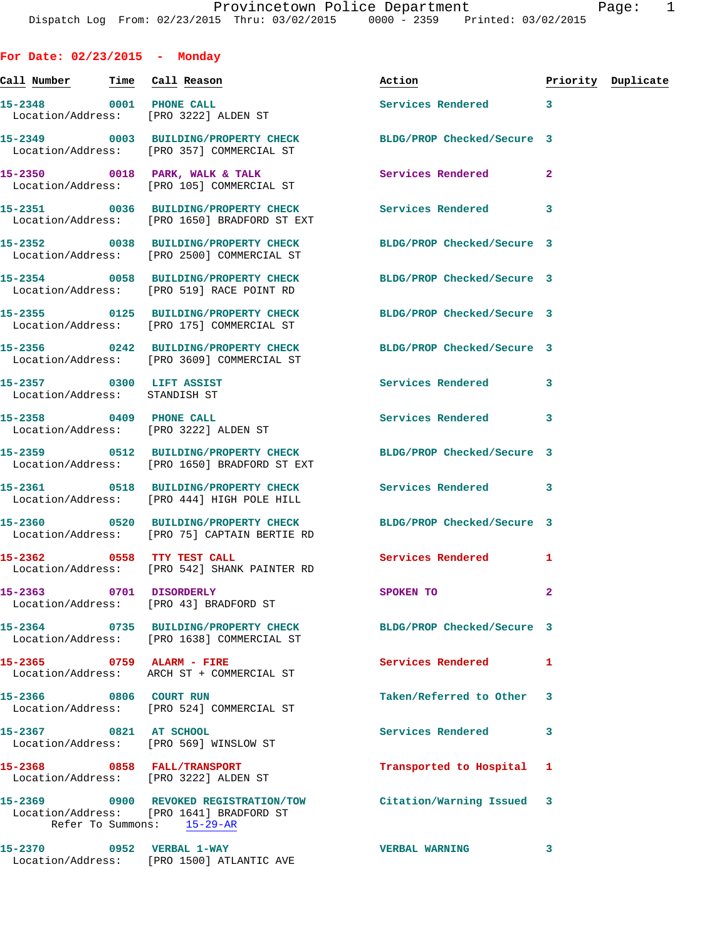**For Date: 02/23/2015 - Monday** Call Number Time Call Reason **Reason Action Action** Priority Duplicate **15-2348 0001 PHONE CALL Services Rendered 3**  Location/Address: [PRO 3222] ALDEN ST **15-2349 0003 BUILDING/PROPERTY CHECK BLDG/PROP Checked/Secure 3**  Location/Address: [PRO 357] COMMERCIAL ST 15-2350 0018 PARK, WALK & TALK **Services Rendered** 2 Location/Address: [PRO 105] COMMERCIAL ST **15-2351 0036 BUILDING/PROPERTY CHECK Services Rendered 3**  Location/Address: [PRO 1650] BRADFORD ST EXT **15-2352 0038 BUILDING/PROPERTY CHECK BLDG/PROP Checked/Secure 3**  Location/Address: [PRO 2500] COMMERCIAL ST **15-2354 0058 BUILDING/PROPERTY CHECK BLDG/PROP Checked/Secure 3**  Location/Address: [PRO 519] RACE POINT RD **15-2355 0125 BUILDING/PROPERTY CHECK BLDG/PROP Checked/Secure 3**  Location/Address: [PRO 175] COMMERCIAL ST **15-2356 0242 BUILDING/PROPERTY CHECK BLDG/PROP Checked/Secure 3**  Location/Address: [PRO 3609] COMMERCIAL ST **15-2357 0300 LIFT ASSIST Services Rendered 3**  Location/Address: STANDISH ST **15-2358 0409 PHONE CALL Services Rendered 3**  Location/Address: [PRO 3222] ALDEN ST **15-2359 0512 BUILDING/PROPERTY CHECK BLDG/PROP Checked/Secure 3**  Location/Address: [PRO 1650] BRADFORD ST EXT **15-2361 0518 BUILDING/PROPERTY CHECK Services Rendered 3**  Location/Address: [PRO 444] HIGH POLE HILL **15-2360 0520 BUILDING/PROPERTY CHECK BLDG/PROP Checked/Secure 3**  Location/Address: [PRO 75] CAPTAIN BERTIE RD 15-2362 0558 TTY TEST CALL **Services Rendered** 1 Location/Address: [PRO 542] SHANK PAINTER RD **15-2363 0701 DISORDERLY SPOKEN TO 2**  Location/Address: [PRO 43] BRADFORD ST **15-2364 0735 BUILDING/PROPERTY CHECK BLDG/PROP Checked/Secure 3**  Location/Address: [PRO 1638] COMMERCIAL ST **15-2365 0759 ALARM - FIRE Services Rendered 1**  Location/Address: ARCH ST + COMMERCIAL ST **15-2366 0806 COURT RUN Taken/Referred to Other 3**  Location/Address: [PRO 524] COMMERCIAL ST **15-2367 0821 AT SCHOOL Services Rendered 3**  Location/Address: [PRO 569] WINSLOW ST **15-2368 0858 FALL/TRANSPORT Transported to Hospital 1**  Location/Address: [PRO 3222] ALDEN ST **15-2369 0900 REVOKED REGISTRATION/TOW Citation/Warning Issued 3**  Location/Address: [PRO 1641] BRADFORD ST Refer To Summons: 15-29-AR **15-2370 0952 VERBAL 1-WAY VERBAL WARNING 3**  Location/Address: [PRO 1500] ATLANTIC AVE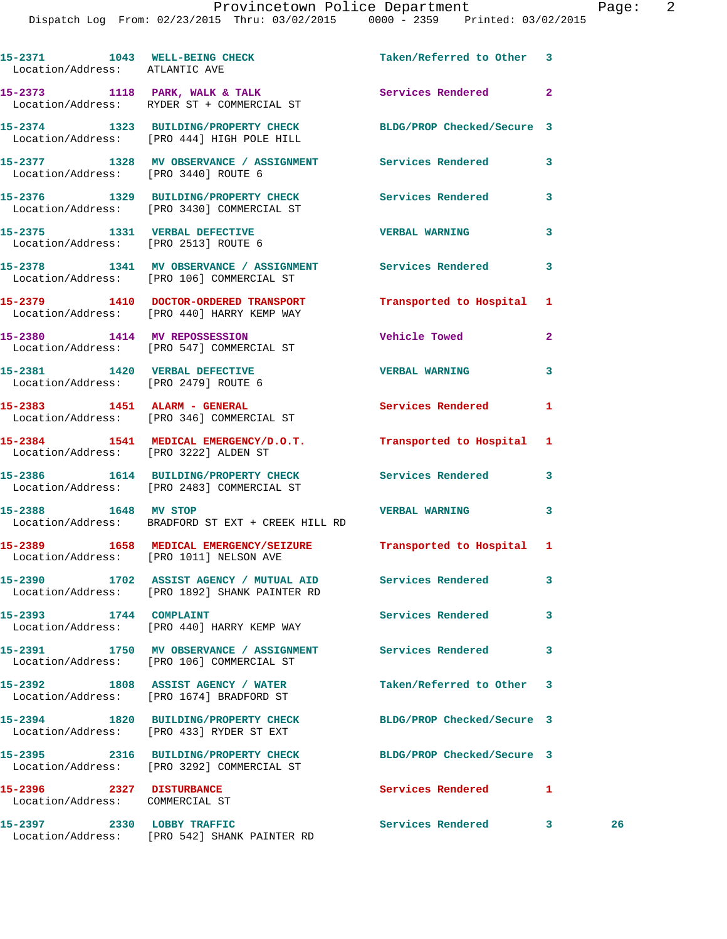| Location/Address: ATLANTIC AVE                                        | 15-2371 1043 WELL-BEING CHECK Taken/Referred to Other 3                                                       |                            |              |    |
|-----------------------------------------------------------------------|---------------------------------------------------------------------------------------------------------------|----------------------------|--------------|----|
|                                                                       | 15-2373 1118 PARK, WALK & TALK<br>Location/Address: RYDER ST + COMMERCIAL ST                                  | Services Rendered 2        |              |    |
|                                                                       | 15-2374 1323 BUILDING/PROPERTY CHECK BLDG/PROP Checked/Secure 3<br>Location/Address: [PRO 444] HIGH POLE HILL |                            |              |    |
| Location/Address: [PRO 3440] ROUTE 6                                  | 15-2377 1328 MV OBSERVANCE / ASSIGNMENT Services Rendered 3                                                   |                            |              |    |
|                                                                       | 15-2376 1329 BUILDING/PROPERTY CHECK Services Rendered<br>Location/Address: [PRO 3430] COMMERCIAL ST          |                            | 3            |    |
|                                                                       | 15-2375 1331 VERBAL DEFECTIVE<br>Location/Address: [PRO 2513] ROUTE 6                                         | <b>VERBAL WARNING</b>      | 3            |    |
|                                                                       | 15-2378 1341 MV OBSERVANCE / ASSIGNMENT Services Rendered<br>Location/Address: [PRO 106] COMMERCIAL ST        |                            | 3            |    |
|                                                                       | 15-2379 1410 DOCTOR-ORDERED TRANSPORT Transported to Hospital<br>Location/Address: [PRO 440] HARRY KEMP WAY   |                            | 1            |    |
|                                                                       | 15-2380 1414 MV REPOSSESSION<br>Location/Address: [PRO 547] COMMERCIAL ST                                     | <b>Vehicle Towed</b>       | $\mathbf{2}$ |    |
| 15-2381 1420 VERBAL DEFECTIVE<br>Location/Address: [PRO 2479] ROUTE 6 |                                                                                                               | <b>VERBAL WARNING</b>      | 3            |    |
|                                                                       | 15-2383 1451 ALARM - GENERAL<br>Location/Address: [PRO 346] COMMERCIAL ST                                     | Services Rendered          | 1            |    |
| Location/Address: [PRO 3222] ALDEN ST                                 | 15-2384 1541 MEDICAL EMERGENCY/D.O.T. Transported to Hospital                                                 |                            | 1            |    |
|                                                                       | 15-2386 1614 BUILDING/PROPERTY CHECK<br>Location/Address: [PRO 2483] COMMERCIAL ST                            | Services Rendered 3        |              |    |
| 15-2388 1648 MV STOP                                                  | Location/Address: BRADFORD ST EXT + CREEK HILL RD                                                             | <b>VERBAL WARNING</b>      | 3            |    |
|                                                                       | 15-2389 1658 MEDICAL EMERGENCY/SEIZURE Transported to Hospital 1<br>Location/Address: [PRO 1011] NELSON AVE   |                            |              |    |
|                                                                       | 15-2390 1702 ASSIST AGENCY / MUTUAL AID Services Rendered<br>Location/Address: [PRO 1892] SHANK PAINTER RD    |                            | 3            |    |
| 15-2393 1744 COMPLAINT                                                | Location/Address: [PRO 440] HARRY KEMP WAY                                                                    | Services Rendered          | 3            |    |
|                                                                       | 15-2391 1750 MV OBSERVANCE / ASSIGNMENT Services Rendered<br>Location/Address: [PRO 106] COMMERCIAL ST        |                            | 3            |    |
|                                                                       | 15-2392 1808 ASSIST AGENCY / WATER<br>Location/Address: [PRO 1674] BRADFORD ST                                | Taken/Referred to Other    | -3           |    |
|                                                                       | 15-2394 1820 BUILDING/PROPERTY CHECK<br>Location/Address: [PRO 433] RYDER ST EXT                              | BLDG/PROP Checked/Secure 3 |              |    |
|                                                                       | 15-2395 2316 BUILDING/PROPERTY CHECK<br>Location/Address: [PRO 3292] COMMERCIAL ST                            | BLDG/PROP Checked/Secure 3 |              |    |
| 15-2396 2327 DISTURBANCE<br>Location/Address: COMMERCIAL ST           |                                                                                                               | <b>Services Rendered</b>   | 1            |    |
| 15-2397 2330 LOBBY TRAFFIC                                            | Location/Address: [PRO 542] SHANK PAINTER RD                                                                  | Services Rendered 3        |              | 26 |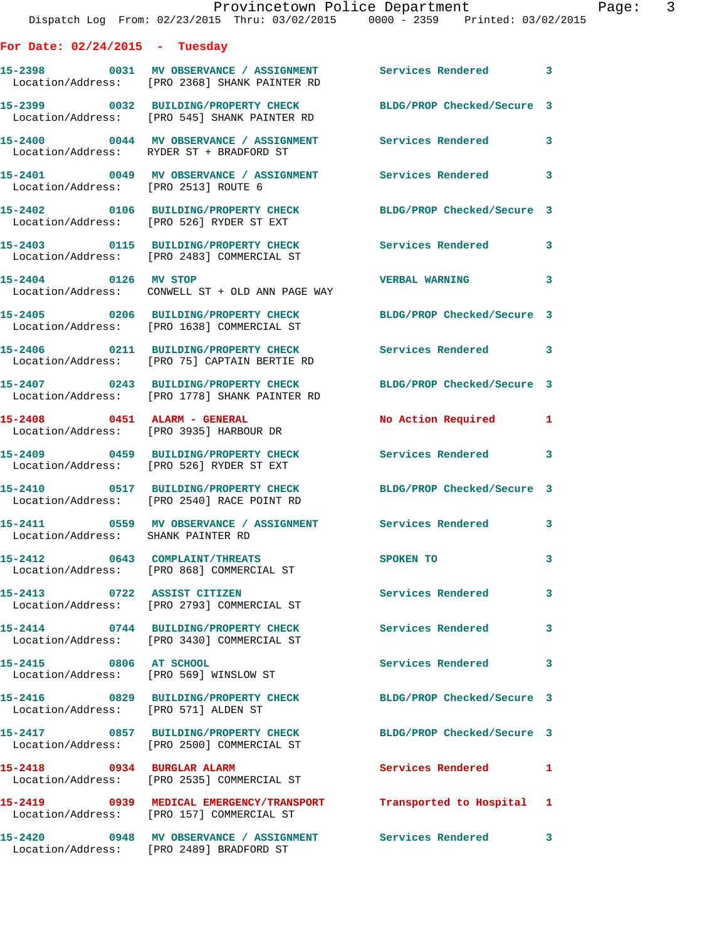|                                      | Provincetown Police Department<br>Dispatch Log From: 02/23/2015 Thru: 03/02/2015 0000 - 2359 Printed: 03/02/2015 |                          | Page: 3 |
|--------------------------------------|------------------------------------------------------------------------------------------------------------------|--------------------------|---------|
| For Date: $02/24/2015$ - Tuesday     |                                                                                                                  |                          |         |
|                                      | 15-2398 0031 MV OBSERVANCE / ASSIGNMENT Services Rendered 3<br>Location/Address: [PRO 2368] SHANK PAINTER RD     |                          |         |
|                                      | 15-2399 0032 BUILDING/PROPERTY CHECK BLDG/PROP Checked/Secure 3<br>Location/Address: [PRO 545] SHANK PAINTER RD  |                          |         |
|                                      | 15-2400 0044 MV OBSERVANCE / ASSIGNMENT Services Rendered 3<br>Location/Address: RYDER ST + BRADFORD ST          |                          |         |
| Location/Address: [PRO 2513] ROUTE 6 | 15-2401 0049 MV OBSERVANCE / ASSIGNMENT Services Rendered 3                                                      |                          |         |
|                                      | 15-2402 0106 BUILDING/PROPERTY CHECK BLDG/PROP Checked/Secure 3<br>Location/Address: [PRO 526] RYDER ST EXT      |                          |         |
|                                      | 15-2403 0115 BUILDING/PROPERTY CHECK Services Rendered 3<br>Location/Address: [PRO 2483] COMMERCIAL ST           |                          |         |
|                                      | Location/Address: CONWELL ST + OLD ANN PAGE WAY                                                                  |                          | 3       |
|                                      | 15-2405 0206 BUILDING/PROPERTY CHECK BLDG/PROP Checked/Secure 3<br>Location/Address: [PRO 1638] COMMERCIAL ST    |                          |         |
|                                      | 15-2406 0211 BUILDING/PROPERTY CHECK Services Rendered 3<br>Location/Address: [PRO 75] CAPTAIN BERTIE RD         |                          |         |
|                                      | 15-2407 0243 BUILDING/PROPERTY CHECK BLDG/PROP Checked/Secure 3<br>Location/Address: [PRO 1778] SHANK PAINTER RD |                          |         |
|                                      | 15-2408 0451 ALARM - GENERAL<br>Location/Address: [PRO 3935] HARBOUR DR                                          | No Action Required 1     |         |
|                                      | 15-2409 0459 BUILDING/PROPERTY CHECK Services Rendered 3<br>Location/Address: [PRO 526] RYDER ST EXT             |                          |         |
|                                      | 15-2410 0517 BUILDING/PROPERTY CHECK BLDG/PROP Checked/Secure 3<br>Location/Address: [PRO 2540] RACE POINT RD    |                          |         |
| Location/Address: SHANK PAINTER RD   | 15-2411 0559 MV OBSERVANCE / ASSIGNMENT                                                                          | <b>Services Rendered</b> |         |
|                                      | 15-2412 0643 COMPLAINT/THREATS<br>Location/Address: [PRO 868] COMMERCIAL ST                                      | <b>SPOKEN TO</b>         | 3       |
|                                      | 15-2413 0722 ASSIST CITIZEN<br>Location/Address: [PRO 2793] COMMERCIAL ST                                        | <b>Services Rendered</b> | 3       |
|                                      | 15-2414 0744 BUILDING/PROPERTY CHECK Services Rendered<br>Location/Address: [PRO 3430] COMMERCIAL ST             |                          | 3       |
| 15-2415 0806 AT SCHOOL               | Location/Address: [PRO 569] WINSLOW ST                                                                           | <b>Services Rendered</b> | 3       |
| Location/Address: [PRO 571] ALDEN ST | 15-2416 0829 BUILDING/PROPERTY CHECK BLDG/PROP Checked/Secure 3                                                  |                          |         |
|                                      | 15-2417 0857 BUILDING/PROPERTY CHECK BLDG/PROP Checked/Secure 3<br>Location/Address: [PRO 2500] COMMERCIAL ST    |                          |         |
|                                      | 15-2418 0934 BURGLAR ALARM<br>Location/Address: [PRO 2535] COMMERCIAL ST                                         | Services Rendered 1      |         |
|                                      | 15-2419 0939 MEDICAL EMERGENCY/TRANSPORT Transported to Hospital 1<br>Location/Address: [PRO 157] COMMERCIAL ST  |                          |         |
|                                      | 15-2420       0948   MV OBSERVANCE / ASSIGNMENT      Services Rendered      3                                    |                          |         |

Location/Address: [PRO 2489] BRADFORD ST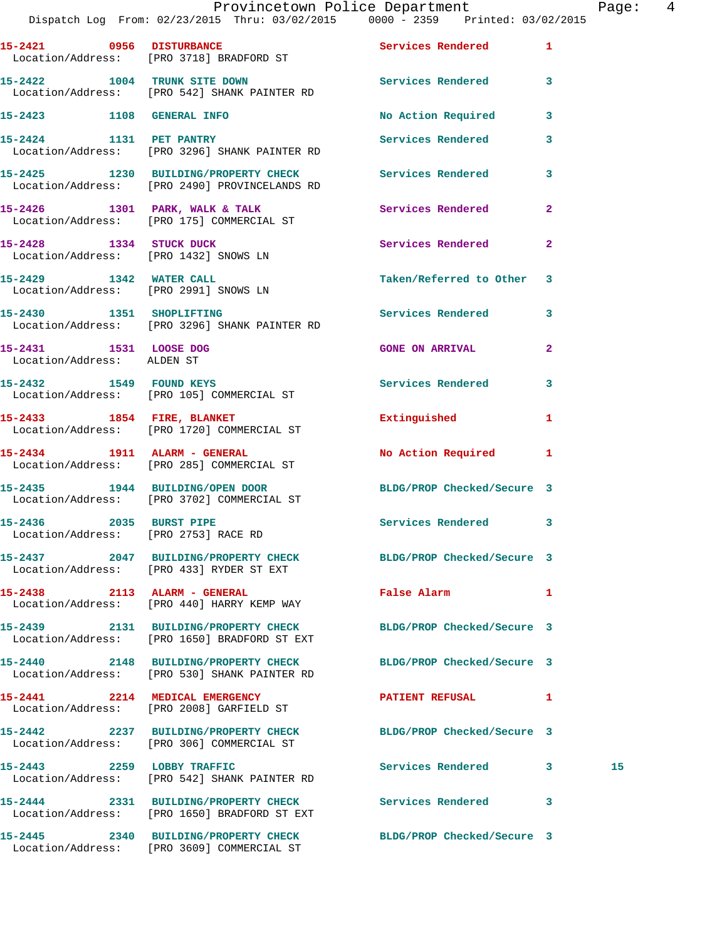|                                                                 | Dispatch Log From: 02/23/2015 Thru: 03/02/2015 0000 - 2359 Printed: 03/02/2015                                  | Provincetown Police Department | $\frac{4}{3}$<br>Page: |
|-----------------------------------------------------------------|-----------------------------------------------------------------------------------------------------------------|--------------------------------|------------------------|
|                                                                 | 15-2421 0956 DISTURBANCE<br>Location/Address: [PRO 3718] BRADFORD ST                                            | Services Rendered 1            |                        |
|                                                                 | 15-2422 1004 TRUNK SITE DOWN<br>Location/Address: [PRO 542] SHANK PAINTER RD                                    | Services Rendered 3            |                        |
|                                                                 | 15-2423 1108 GENERAL INFO                                                                                       | No Action Required 3           |                        |
|                                                                 | 15-2424 1131 PET PANTRY<br>Location/Address: [PRO 3296] SHANK PAINTER RD                                        | Services Rendered              | $\mathbf{3}$           |
|                                                                 | 15-2425 1230 BUILDING/PROPERTY CHECK Services Rendered 3<br>Location/Address: [PRO 2490] PROVINCELANDS RD       |                                |                        |
|                                                                 | 15-2426 1301 PARK, WALK & TALK<br>Location/Address: [PRO 175] COMMERCIAL ST                                     | Services Rendered 2            |                        |
| Location/Address: [PRO 1432] SNOWS LN                           | 15-2428 1334 STUCK DUCK                                                                                         | Services Rendered              | $\mathbf{2}$           |
| 15-2429 1342 WATER CALL                                         | Location/Address: [PRO 2991] SNOWS LN                                                                           | Taken/Referred to Other 3      |                        |
|                                                                 | 15-2430 1351 SHOPLIFTING<br>Location/Address: [PRO 3296] SHANK PAINTER RD                                       | Services Rendered 3            |                        |
| 15-2431 1531 LOOSE DOG<br>Location/Address: ALDEN ST            |                                                                                                                 | <b>GONE ON ARRIVAL</b>         | $\mathbf{2}$           |
|                                                                 | 15-2432 1549 FOUND KEYS<br>Location/Address: [PRO 105] COMMERCIAL ST                                            | Services Rendered 3            |                        |
|                                                                 | 15-2433 1854 FIRE, BLANKET<br>Location/Address: [PRO 1720] COMMERCIAL ST                                        | Extinguished                   | 1                      |
|                                                                 | 15-2434 1911 ALARM - GENERAL<br>Location/Address: [PRO 285] COMMERCIAL ST                                       | No Action Required 1           |                        |
|                                                                 | 15-2435 1944 BUILDING/OPEN DOOR<br>Location/Address: [PRO 3702] COMMERCIAL ST                                   | BLDG/PROP Checked/Secure 3     |                        |
| 15-2436 2035 BURST PIPE<br>Location/Address: [PRO 2753] RACE RD |                                                                                                                 | Services Rendered 3            |                        |
|                                                                 | 15-2437 2047 BUILDING/PROPERTY CHECK BLDG/PROP Checked/Secure 3<br>Location/Address: [PRO 433] RYDER ST EXT     |                                |                        |
|                                                                 | 15-2438 2113 ALARM - GENERAL<br>Location/Address: [PRO 440] HARRY KEMP WAY                                      | False Alarm <b>Example 20</b>  | $\mathbf{1}$           |
|                                                                 | 15-2439 2131 BUILDING/PROPERTY CHECK BLDG/PROP Checked/Secure 3<br>Location/Address: [PRO 1650] BRADFORD ST EXT |                                |                        |
|                                                                 | 15-2440 2148 BUILDING/PROPERTY CHECK BLDG/PROP Checked/Secure 3<br>Location/Address: [PRO 530] SHANK PAINTER RD |                                |                        |
|                                                                 | 15-2441 2214 MEDICAL EMERGENCY<br>Location/Address: [PRO 2008] GARFIELD ST                                      | PATIENT REFUSAL 1              |                        |
|                                                                 | 15-2442 2237 BUILDING/PROPERTY CHECK BLDG/PROP Checked/Secure 3<br>Location/Address: [PRO 306] COMMERCIAL ST    |                                |                        |
|                                                                 | 15-2443 2259 LOBBY TRAFFIC<br>Location/Address: [PRO 542] SHANK PAINTER RD                                      | Services Rendered 3            | 15                     |
|                                                                 | 15-2444 2331 BUILDING/PROPERTY CHECK Services Rendered 3<br>Location/Address: [PRO 1650] BRADFORD ST EXT        |                                |                        |
|                                                                 | 15-2445      2340  BUILDING/PROPERTY CHECK       BLDG/PROP Checked/Secure 3                                     |                                |                        |

Location/Address: [PRO 3609] COMMERCIAL ST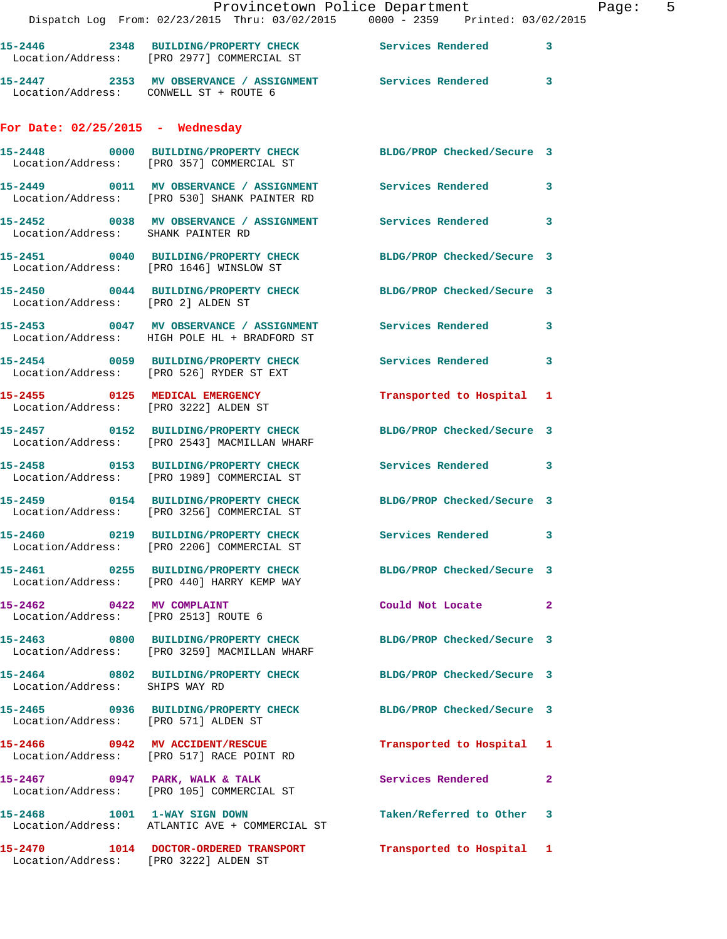|                                                                   | Provincetown Police Department<br>Dispatch Log From: 02/23/2015 Thru: 03/02/2015 0000 - 2359 Printed: 03/02/2015 |                           | P            |
|-------------------------------------------------------------------|------------------------------------------------------------------------------------------------------------------|---------------------------|--------------|
|                                                                   | 15-2446 2348 BUILDING/PROPERTY CHECK Services Rendered<br>Location/Address: [PRO 2977] COMMERCIAL ST             |                           | 3            |
|                                                                   | 15-2447 2353 MV OBSERVANCE / ASSIGNMENT Services Rendered<br>Location/Address: CONWELL ST + ROUTE 6              |                           | 3            |
| For Date: $02/25/2015$ - Wednesday                                |                                                                                                                  |                           |              |
|                                                                   | 15-2448 0000 BUILDING/PROPERTY CHECK BLDG/PROP Checked/Secure 3<br>Location/Address: [PRO 357] COMMERCIAL ST     |                           |              |
|                                                                   | 15-2449 0011 MV OBSERVANCE / ASSIGNMENT Services Rendered<br>Location/Address: [PRO 530] SHANK PAINTER RD        |                           | 3            |
| Location/Address: SHANK PAINTER RD                                | 15-2452 0038 MV OBSERVANCE / ASSIGNMENT Services Rendered                                                        |                           | 3            |
|                                                                   | 15-2451 0040 BUILDING/PROPERTY CHECK BLDG/PROP Checked/Secure 3<br>Location/Address: [PRO 1646] WINSLOW ST       |                           |              |
| Location/Address: [PRO 2] ALDEN ST                                | 15-2450 0044 BUILDING/PROPERTY CHECK BLDG/PROP Checked/Secure 3                                                  |                           |              |
|                                                                   | 15-2453 0047 MV OBSERVANCE / ASSIGNMENT Services Rendered<br>Location/Address: HIGH POLE HL + BRADFORD ST        |                           | 3            |
|                                                                   | 15-2454 0059 BUILDING/PROPERTY CHECK Services Rendered<br>Location/Address: [PRO 526] RYDER ST EXT               |                           | 3            |
|                                                                   | 15-2455      0125   MEDICAL EMERGENCY<br>Location/Address:   [PRO 3222]ALDEN ST                                  | Transported to Hospital 1 |              |
|                                                                   | 15-2457 0152 BUILDING/PROPERTY CHECK BLDG/PROP Checked/Secure 3<br>Location/Address: [PRO 2543] MACMILLAN WHARF  |                           |              |
|                                                                   | 15-2458 		 0153 BUILDING/PROPERTY CHECK Services Rendered<br>Location/Address: [PRO 1989] COMMERCIAL ST          |                           | 3            |
|                                                                   | 15-2459 0154 BUILDING/PROPERTY CHECK BLDG/PROP Checked/Secure 3<br>Location/Address: [PRO 3256] COMMERCIAL ST    |                           |              |
|                                                                   | 15-2460 0219 BUILDING/PROPERTY CHECK<br>Location/Address: [PRO 2206] COMMERCIAL ST                               | <b>Services Rendered</b>  | 3            |
|                                                                   | 15-2461 0255 BUILDING/PROPERTY CHECK BLDG/PROP Checked/Secure 3<br>Location/Address: [PRO 440] HARRY KEMP WAY    |                           |              |
| 15-2462 0422 MV COMPLAINT<br>Location/Address: [PRO 2513] ROUTE 6 |                                                                                                                  | Could Not Locate          | $\mathbf{2}$ |
|                                                                   | 15-2463 0800 BUILDING/PROPERTY CHECK BLDG/PROP Checked/Secure 3<br>Location/Address: [PRO 3259] MACMILLAN WHARF  |                           |              |
| Location/Address: SHIPS WAY RD                                    | 15-2464 0802 BUILDING/PROPERTY CHECK BLDG/PROP Checked/Secure 3                                                  |                           |              |
| Location/Address: [PRO 571] ALDEN ST                              | 15-2465 0936 BUILDING/PROPERTY CHECK BLDG/PROP Checked/Secure 3                                                  |                           |              |
|                                                                   | 15-2466 0942 MV ACCIDENT/RESCUE<br>Location/Address: [PRO 517] RACE POINT RD                                     | Transported to Hospital 1 |              |
|                                                                   | $15-2467$ 0947 PARK, WALK & TALK<br>Location/Address: [PRO 105] COMMERCIAL ST                                    | Services Rendered         | $\mathbf{2}$ |
|                                                                   | 15-2468 1001 1-WAY SIGN DOWN<br>Location/Address: ATLANTIC AVE + COMMERCIAL ST                                   | Taken/Referred to Other   | 3            |
| Location/Address: [PRO 3222] ALDEN ST                             | 15-2470   1014   DOCTOR-ORDERED TRANSPORT                                                                        | Transported to Hospital 1 |              |

Page: 5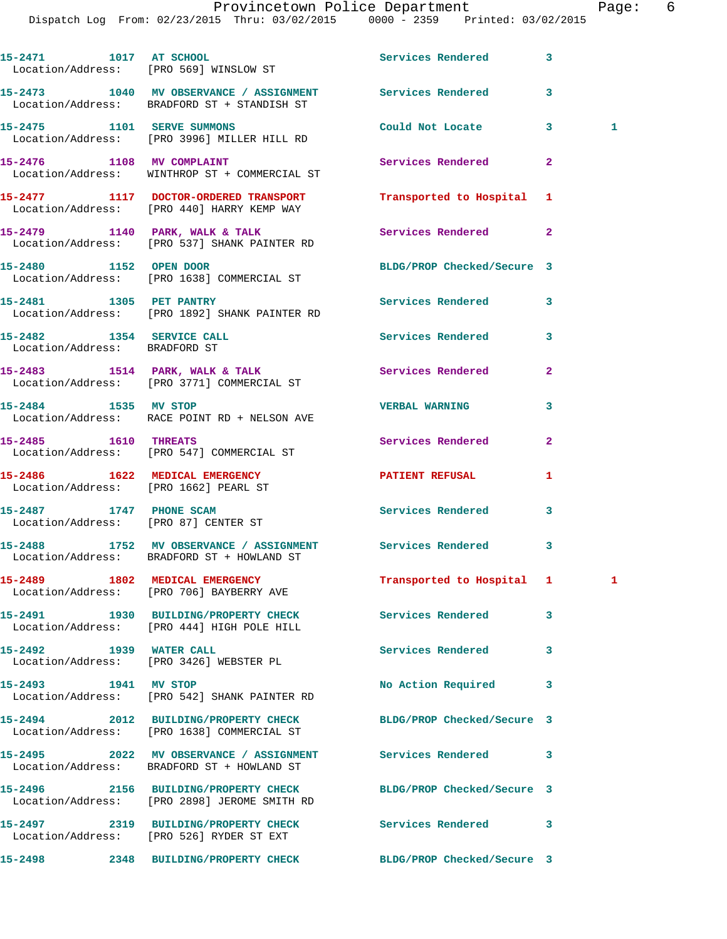Dispatch Log From: 02/23/2015 Thru: 03/02/2015 0000 - 2359 Printed: 03/02/2015

**15-2471 1017 AT SCHOOL Services Rendered 3**  Location/Address: [PRO 569] WINSLOW ST **15-2473 1040 MV OBSERVANCE / ASSIGNMENT Services Rendered 3**  Location/Address: BRADFORD ST + STANDISH ST **15-2475 1101 SERVE SUMMONS Could Not Locate 3 1**  Location/Address: [PRO 3996] MILLER HILL RD **15-2476 1108 MV COMPLAINT Services Rendered 2**  Location/Address: WINTHROP ST + COMMERCIAL ST **15-2477 1117 DOCTOR-ORDERED TRANSPORT Transported to Hospital 1**  Location/Address: [PRO 440] HARRY KEMP WAY 15-2479 1140 PARK, WALK & TALK Services Rendered 2 Location/Address: [PRO 537] SHANK PAINTER RD **15-2480 1152 OPEN DOOR BLDG/PROP Checked/Secure 3**  Location/Address: [PRO 1638] COMMERCIAL ST **15-2481 1305 PET PANTRY Services Rendered 3**  Location/Address: [PRO 1892] SHANK PAINTER RD **15-2482 1354 SERVICE CALL Services Rendered 3**  Location/Address: BRADFORD ST **15-2483 1514 PARK, WALK & TALK Services Rendered 2**  Location/Address: [PRO 3771] COMMERCIAL ST **15-2484 1535 MV STOP VERBAL WARNING 3**  Location/Address: RACE POINT RD + NELSON AVE **15-2485 1610 THREATS Services Rendered 2**  Location/Address: [PRO 547] COMMERCIAL ST **15-2486 1622 MEDICAL EMERGENCY 12 PATIENT REFUSAL 1**  Location/Address: [PRO 1662] PEARL ST **15-2487 1747 PHONE SCAM Services Rendered 3**  Location/Address: [PRO 87] CENTER ST **15-2488 1752 MV OBSERVANCE / ASSIGNMENT Services Rendered 3**  Location/Address: BRADFORD ST + HOWLAND ST **15-2489 1802 MEDICAL EMERGENCY Transported to Hospital 1 1**  Location/Address: [PRO 706] BAYBERRY AVE **15-2491 1930 BUILDING/PROPERTY CHECK Services Rendered 3**  Location/Address: [PRO 444] HIGH POLE HILL **15-2492 1939 WATER CALL Services Rendered 3**  Location/Address: [PRO 3426] WEBSTER PL 15-2493 1941 MV STOP **No Action Required** 3 Location/Address: [PRO 542] SHANK PAINTER RD **15-2494 2012 BUILDING/PROPERTY CHECK BLDG/PROP Checked/Secure 3**  Location/Address: [PRO 1638] COMMERCIAL ST **15-2495 2022 MV OBSERVANCE / ASSIGNMENT Services Rendered 3**  Location/Address: BRADFORD ST + HOWLAND ST **15-2496 2156 BUILDING/PROPERTY CHECK BLDG/PROP Checked/Secure 3**  Location/Address: [PRO 2898] JEROME SMITH RD **15-2497 2319 BUILDING/PROPERTY CHECK Services Rendered 3**  Location/Address: [PRO 526] RYDER ST EXT

**15-2498 2348 BUILDING/PROPERTY CHECK BLDG/PROP Checked/Secure 3**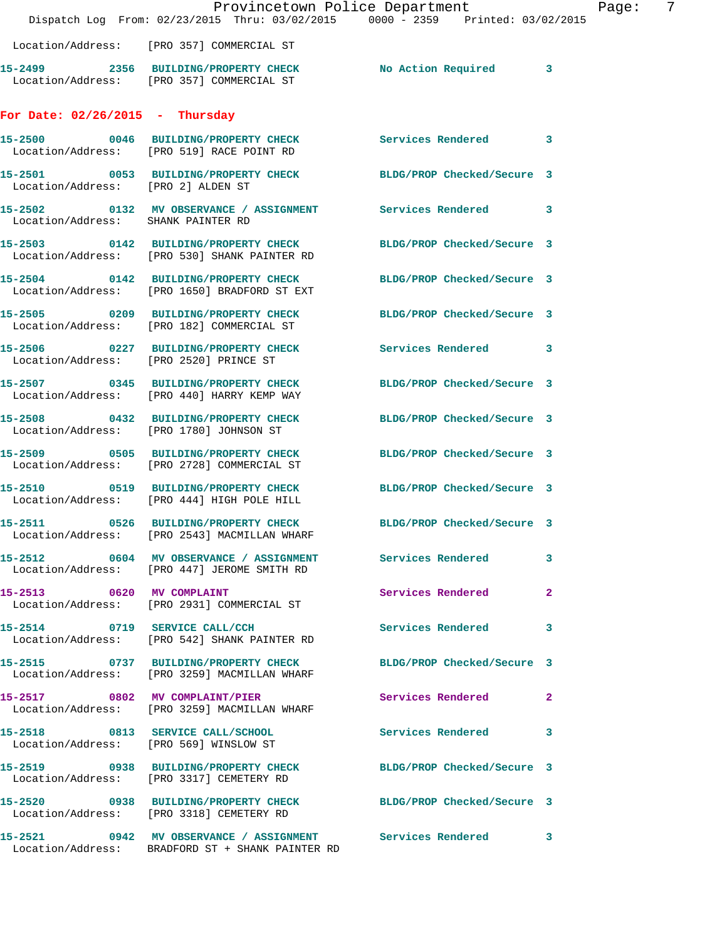|                                    | Dispatch Log From: 02/23/2015 Thru: 03/02/2015 0000 - 2359 Printed: 03/02/2015                                  | Provincetown Police Department    | -7<br>Page: |
|------------------------------------|-----------------------------------------------------------------------------------------------------------------|-----------------------------------|-------------|
|                                    | Location/Address: [PRO 357] COMMERCIAL ST                                                                       |                                   |             |
|                                    | 15-2499 2356 BUILDING/PROPERTY CHECK No Action Required 3<br>Location/Address: [PRO 357] COMMERCIAL ST          |                                   |             |
|                                    |                                                                                                                 |                                   |             |
| For Date: $02/26/2015$ - Thursday  |                                                                                                                 |                                   |             |
|                                    | 15-2500 0046 BUILDING/PROPERTY CHECK Services Rendered 3<br>Location/Address: [PRO 519] RACE POINT RD           |                                   |             |
| Location/Address: [PRO 2] ALDEN ST | 15-2501 0053 BUILDING/PROPERTY CHECK BLDG/PROP Checked/Secure 3                                                 |                                   |             |
| Location/Address: SHANK PAINTER RD | 15-2502 0132 MV OBSERVANCE / ASSIGNMENT Services Rendered 3                                                     |                                   |             |
|                                    | 15-2503 0142 BUILDING/PROPERTY CHECK<br>Location/Address: [PRO 530] SHANK PAINTER RD                            | BLDG/PROP Checked/Secure 3        |             |
|                                    | 15-2504 0142 BUILDING/PROPERTY CHECK<br>Location/Address: [PRO 1650] BRADFORD ST EXT                            | BLDG/PROP Checked/Secure 3        |             |
|                                    | 15-2505 0209 BUILDING/PROPERTY CHECK<br>Location/Address: [PRO 182] COMMERCIAL ST                               | BLDG/PROP Checked/Secure 3        |             |
|                                    | 15-2506 0227 BUILDING/PROPERTY CHECK<br>Location/Address: [PRO 2520] PRINCE ST                                  | Services Rendered 3               |             |
|                                    | 15-2507 0345 BUILDING/PROPERTY CHECK<br>Location/Address: [PRO 440] HARRY KEMP WAY                              | BLDG/PROP Checked/Secure 3        |             |
|                                    | 15-2508 0432 BUILDING/PROPERTY CHECK<br>Location/Address: [PRO 1780] JOHNSON ST                                 | BLDG/PROP Checked/Secure 3        |             |
|                                    | 15-2509 0505 BUILDING/PROPERTY CHECK<br>Location/Address: [PRO 2728] COMMERCIAL ST                              | BLDG/PROP Checked/Secure 3        |             |
|                                    | 15-2510 0519 BUILDING/PROPERTY CHECK<br>Location/Address: [PRO 444] HIGH POLE HILL                              | BLDG/PROP Checked/Secure 3        |             |
|                                    | 15-2511 0526 BUILDING/PROPERTY CHECK BLDG/PROP Checked/Secure 3<br>Location/Address: [PRO 2543] MACMILLAN WHARF |                                   |             |
|                                    | 15-2512 0604 MV OBSERVANCE / ASSIGNMENT Services Rendered 3<br>Location/Address: [PRO 447] JEROME SMITH RD      |                                   |             |
| 15-2513 0620 MV COMPLAINT          | Location/Address: [PRO 2931] COMMERCIAL ST                                                                      | Services Rendered<br>$\mathbf{2}$ |             |
|                                    | 15-2514 0719 SERVICE CALL/CCH<br>Location/Address: [PRO 542] SHANK PAINTER RD                                   | Services Rendered 3               |             |
|                                    | 15-2515 0737 BUILDING/PROPERTY CHECK BLDG/PROP Checked/Secure 3<br>Location/Address: [PRO 3259] MACMILLAN WHARF |                                   |             |
|                                    | 15-2517 0802 MV COMPLAINT/PIER<br>Location/Address: [PRO 3259] MACMILLAN WHARF                                  | Services Rendered 2               |             |
|                                    | 15-2518 0813 SERVICE CALL/SCHOOL<br>Location/Address: [PRO 569] WINSLOW ST                                      | Services Rendered 3               |             |
|                                    | 15-2519 0938 BUILDING/PROPERTY CHECK BLDG/PROP Checked/Secure 3<br>Location/Address: [PRO 3317] CEMETERY RD     |                                   |             |
|                                    | 15-2520 0938 BUILDING/PROPERTY CHECK BLDG/PROP Checked/Secure 3<br>Location/Address: [PRO 3318] CEMETERY RD     |                                   |             |
|                                    | 15-2521 0942 MV OBSERVANCE / ASSIGNMENT Services Rendered 3<br>Location/Address: BRADFORD ST + SHANK PAINTER RD |                                   |             |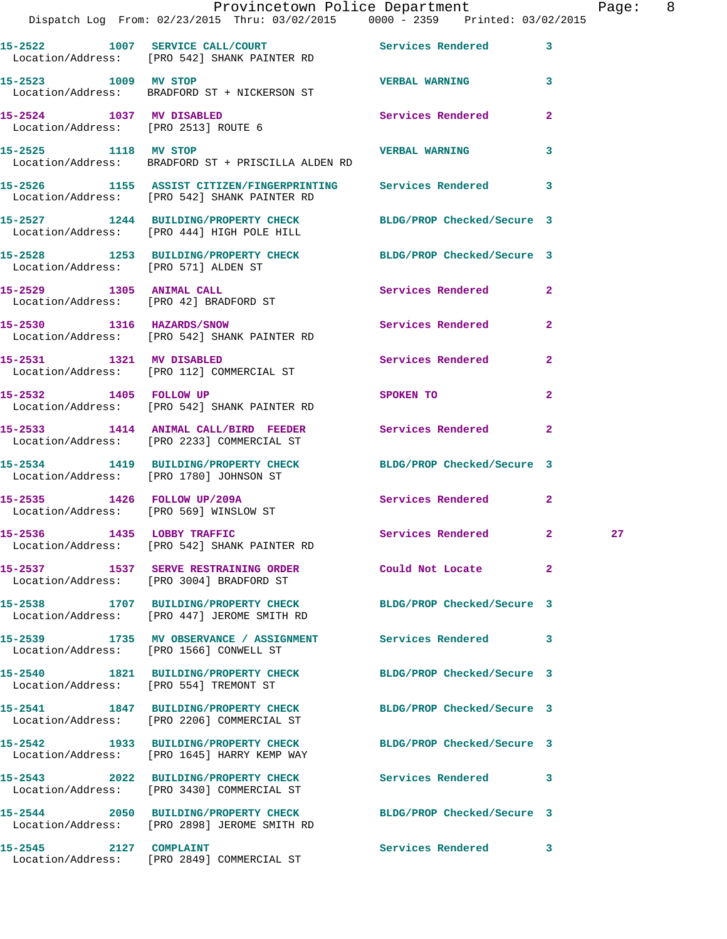|                                      | Provincetown Police Department<br>Dispatch Log From: 02/23/2015 Thru: 03/02/2015 0000 - 2359 Printed: 03/02/2015 |                                                                                                                |                | Page: 8 |  |
|--------------------------------------|------------------------------------------------------------------------------------------------------------------|----------------------------------------------------------------------------------------------------------------|----------------|---------|--|
|                                      | 15-2522 1007 SERVICE CALL/COURT Services Rendered 3<br>Location/Address: [PRO 542] SHANK PAINTER RD              |                                                                                                                |                |         |  |
| 15-2523 1009 MV STOP                 | Location/Address: BRADFORD ST + NICKERSON ST                                                                     | <b>VERBAL WARNING</b> 3                                                                                        |                |         |  |
|                                      | 15-2524 1037 MV DISABLED<br>Location/Address: [PRO 2513] ROUTE 6                                                 | Services Rendered 2                                                                                            |                |         |  |
|                                      | 15-2525 1118 MV STOP 25 20 20 20 20 20 20 20 21 22 23<br>Location/Address: BRADFORD ST + PRISCILLA ALDEN RD      |                                                                                                                | 3              |         |  |
|                                      | 15-2526 1155 ASSIST CITIZEN/FINGERPRINTING Services Rendered 3<br>Location/Address: [PRO 542] SHANK PAINTER RD   |                                                                                                                |                |         |  |
|                                      | 15-2527 1244 BUILDING/PROPERTY CHECK BLDG/PROP Checked/Secure 3<br>Location/Address: [PRO 444] HIGH POLE HILL    |                                                                                                                |                |         |  |
| Location/Address: [PRO 571] ALDEN ST | 15-2528 1253 BUILDING/PROPERTY CHECK BLDG/PROP Checked/Secure 3                                                  |                                                                                                                |                |         |  |
|                                      | 15-2529 1305 ANIMAL CALL<br>Location/Address: [PRO 42] BRADFORD ST                                               | Services Rendered 2                                                                                            |                |         |  |
|                                      | 15-2530 1316 HAZARDS/SNOW<br>Location/Address: [PRO 542] SHANK PAINTER RD                                        | Services Rendered 2                                                                                            |                |         |  |
|                                      | 15-2531 1321 MV DISABLED<br>Location/Address: [PRO 112] COMMERCIAL ST                                            | Services Rendered                                                                                              | $\mathbf{2}$   |         |  |
| 15-2532 1405 FOLLOW UP               | Location/Address: [PRO 542] SHANK PAINTER RD                                                                     | SPOKEN TO AND THE SPOKEN OF THE STATE OF THE SPOKEN OF THE STATE OF THE SPOKEN OF THE STATE OF THE STATE OF TH | $\overline{2}$ |         |  |
|                                      | 15-2533 1414 ANIMAL CALL/BIRD FEEDER Services Rendered 2<br>Location/Address: [PRO 2233] COMMERCIAL ST           |                                                                                                                |                |         |  |
|                                      | 15-2534 1419 BUILDING/PROPERTY CHECK BLDG/PROP Checked/Secure 3<br>Location/Address: [PRO 1780] JOHNSON ST       |                                                                                                                |                |         |  |
|                                      | 15-2535 1426 FOLLOW UP/209A<br>Location/Address: [PRO 569] WINSLOW ST                                            | Services Rendered 2                                                                                            |                |         |  |
| 15-2536 1435 LOBBY TRAFFIC           | Location/Address: [PRO 542] SHANK PAINTER RD                                                                     | Services Rendered 2                                                                                            |                | 27      |  |
|                                      | 15-2537 1537 SERVE RESTRAINING ORDER Could Not Locate<br>Location/Address: [PRO 3004] BRADFORD ST                |                                                                                                                | $\mathbf{2}$   |         |  |
|                                      | 15-2538 1707 BUILDING/PROPERTY CHECK BLDG/PROP Checked/Secure 3<br>Location/Address: [PRO 447] JEROME SMITH RD   |                                                                                                                |                |         |  |
|                                      | 15-2539 1735 MV OBSERVANCE / ASSIGNMENT Services Rendered 3<br>Location/Address: [PRO 1566] CONWELL ST           |                                                                                                                |                |         |  |
|                                      | 15-2540 1821 BUILDING/PROPERTY CHECK BLDG/PROP Checked/Secure 3<br>Location/Address: [PRO 554] TREMONT ST        |                                                                                                                |                |         |  |
|                                      | 15-2541 1847 BUILDING/PROPERTY CHECK<br>Location/Address: [PRO 2206] COMMERCIAL ST                               | BLDG/PROP Checked/Secure 3                                                                                     |                |         |  |
|                                      | 15-2542 1933 BUILDING/PROPERTY CHECK BLDG/PROP Checked/Secure 3<br>Location/Address: [PRO 1645] HARRY KEMP WAY   |                                                                                                                |                |         |  |
|                                      | 15-2543 2022 BUILDING/PROPERTY CHECK Services Rendered 3<br>Location/Address: [PRO 3430] COMMERCIAL ST           |                                                                                                                |                |         |  |
|                                      | 15-2544 2050 BUILDING/PROPERTY CHECK BLDG/PROP Checked/Secure 3<br>Location/Address: [PRO 2898] JEROME SMITH RD  |                                                                                                                |                |         |  |
| 15-2545 2127 COMPLAINT               |                                                                                                                  | Services Rendered 3                                                                                            |                |         |  |

Location/Address: [PRO 2849] COMMERCIAL ST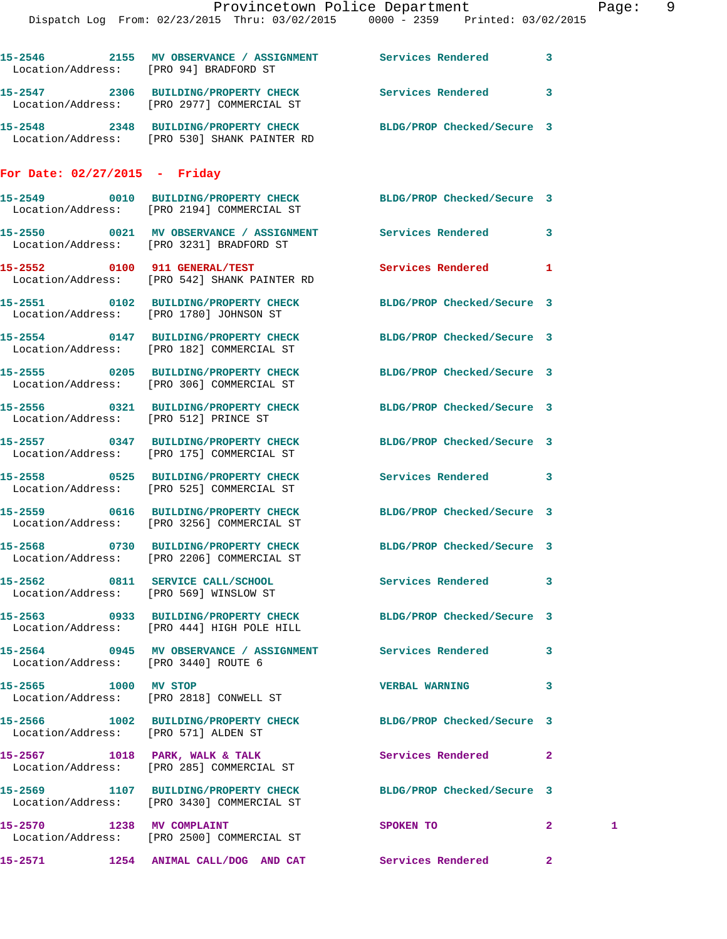|                                        | Provincetown Police Department                                                                                  |                            | Page: | 9 |
|----------------------------------------|-----------------------------------------------------------------------------------------------------------------|----------------------------|-------|---|
|                                        | Dispatch Log From: 02/23/2015 Thru: 03/02/2015   0000 - 2359   Printed: 03/02/2015                              |                            |       |   |
|                                        |                                                                                                                 |                            |       |   |
|                                        | 15-2546 2155 MV OBSERVANCE / ASSIGNMENT Services Rendered 3<br>Location/Address: [PRO 94] BRADFORD ST           |                            |       |   |
|                                        | 15-2547 2306 BUILDING/PROPERTY CHECK Services Rendered 3<br>Location/Address: [PRO 2977] COMMERCIAL ST          |                            |       |   |
|                                        | 15-2548 2348 BUILDING/PROPERTY CHECK BLDG/PROP Checked/Secure 3<br>Location/Address: [PRO 530] SHANK PAINTER RD |                            |       |   |
| For Date: $02/27/2015$ - Friday        |                                                                                                                 |                            |       |   |
|                                        | 15-2549 0010 BUILDING/PROPERTY CHECK BLDG/PROP Checked/Secure 3<br>Location/Address: [PRO 2194] COMMERCIAL ST   |                            |       |   |
|                                        | 15-2550 0021 MV OBSERVANCE / ASSIGNMENT Services Rendered 3<br>Location/Address: [PRO 3231] BRADFORD ST         |                            |       |   |
|                                        | 15-2552 0100 911 GENERAL/TEST<br>Location/Address: [PRO 542] SHANK PAINTER RD                                   | Services Rendered 1        |       |   |
|                                        | 15-2551 0102 BUILDING/PROPERTY CHECK BLDG/PROP Checked/Secure 3<br>Location/Address: [PRO 1780] JOHNSON ST      |                            |       |   |
|                                        | 15-2554 0147 BUILDING/PROPERTY CHECK BLDG/PROP Checked/Secure 3<br>Location/Address: [PRO 182] COMMERCIAL ST    |                            |       |   |
|                                        | 15-2555 0205 BUILDING/PROPERTY CHECK BLDG/PROP Checked/Secure 3<br>Location/Address: [PRO 306] COMMERCIAL ST    |                            |       |   |
|                                        | 15-2556 0321 BUILDING/PROPERTY CHECK BLDG/PROP Checked/Secure 3<br>Location/Address: [PRO 512] PRINCE ST        |                            |       |   |
|                                        | 15-2557 0347 BUILDING/PROPERTY CHECK BLDG/PROP Checked/Secure 3<br>Location/Address: [PRO 175] COMMERCIAL ST    |                            |       |   |
|                                        | 15-2558 0525 BUILDING/PROPERTY CHECK Services Rendered 3<br>Location/Address: [PRO 525] COMMERCIAL ST           |                            |       |   |
|                                        | 15-2559 0616 BUILDING/PROPERTY CHECK BLDG/PROP Checked/Secure 3<br>Location/Address: [PRO 3256] COMMERCIAL ST   |                            |       |   |
|                                        | 15-2568 0730 BUILDING/PROPERTY CHECK<br>Location/Address: [PRO 2206] COMMERCIAL ST                              | BLDG/PROP Checked/Secure 3 |       |   |
| Location/Address: [PRO 569] WINSLOW ST | 15-2562 0811 SERVICE CALL/SCHOOL                                                                                | Services Rendered 3        |       |   |
|                                        | 15-2563 0933 BUILDING/PROPERTY CHECK<br>Location/Address: [PRO 444] HIGH POLE HILL                              | BLDG/PROP Checked/Secure 3 |       |   |
| Location/Address: [PRO 3440] ROUTE 6   | 15-2564 0945 MV OBSERVANCE / ASSIGNMENT Services Rendered 3                                                     |                            |       |   |
|                                        |                                                                                                                 |                            |       |   |

**15-2565 1000 MV STOP VERBAL WARNING 3**  Location/Address: [PRO 2818] CONWELL ST

Location/Address: [PRO 571] ALDEN ST

Location/Address: [PRO 285] COMMERCIAL ST

Location/Address: [PRO 3430] COMMERCIAL ST

Location/Address: [PRO 2500] COMMERCIAL ST

**15-2566 1002 BUILDING/PROPERTY CHECK BLDG/PROP Checked/Secure 3**  15-2567 1018 PARK, WALK & TALK **Services Rendered** 2 **15-2569 1107 BUILDING/PROPERTY CHECK BLDG/PROP Checked/Secure 3 15-2570 1238 MV COMPLAINT SPOKEN TO 2 1** 

**15-2571 1254 ANIMAL CALL/DOG AND CAT Services Rendered 2**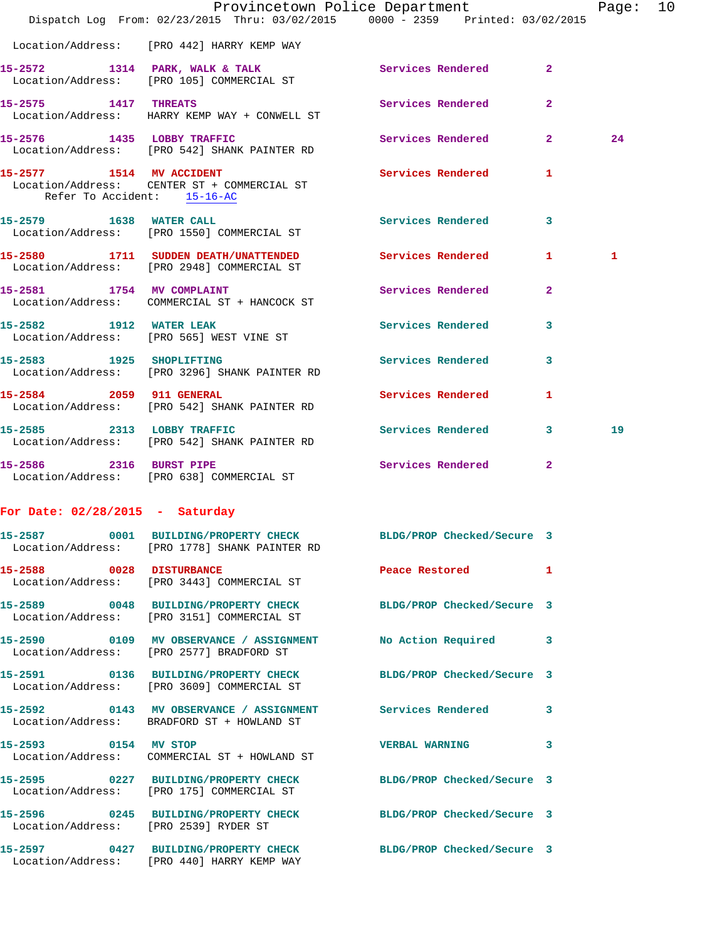|                                   | Dispatch Log From: 02/23/2015 Thru: 03/02/2015 0000 - 2359 Printed: 03/02/2015                                   | Provincetown Police Department |              | Page: 10 |  |
|-----------------------------------|------------------------------------------------------------------------------------------------------------------|--------------------------------|--------------|----------|--|
|                                   | Location/Address: [PRO 442] HARRY KEMP WAY                                                                       |                                |              |          |  |
|                                   | 15-2572 1314 PARK, WALK & TALK Services Rendered 2                                                               |                                |              |          |  |
| 15-2575 1417 THREATS              | Location/Address: [PRO 105] COMMERCIAL ST                                                                        | Services Rendered              | $\mathbf{2}$ |          |  |
|                                   | Location/Address: HARRY KEMP WAY + CONWELL ST<br>15-2576 1435 LOBBY TRAFFIC                                      | Services Rendered 2            |              | 24       |  |
|                                   | Location/Address: [PRO 542] SHANK PAINTER RD<br>15-2577 1514 MV ACCIDENT                                         | Services Rendered 1            |              |          |  |
|                                   | Location/Address: CENTER ST + COMMERCIAL ST<br>Refer To Accident: 15-16-AC                                       |                                |              |          |  |
|                                   | 15-2579 1638 WATER CALL<br>Location/Address: [PRO 1550] COMMERCIAL ST                                            | Services Rendered              | 3            |          |  |
|                                   | 15-2580 1711 SUDDEN DEATH/UNATTENDED Services Rendered 1<br>Location/Address: [PRO 2948] COMMERCIAL ST           |                                |              | 1        |  |
|                                   | 15-2581 1754 MV COMPLAINT<br>Location/Address: COMMERCIAL ST + HANCOCK ST                                        | Services Rendered              | $\mathbf{2}$ |          |  |
| 15-2582 1912 WATER LEAK           | Location/Address: [PRO 565] WEST VINE ST                                                                         | Services Rendered              | 3            |          |  |
|                                   | 15-2583 1925 SHOPLIFTING<br>Location/Address: [PRO 3296] SHANK PAINTER RD                                        | Services Rendered              | 3            |          |  |
| 15-2584 2059 911 GENERAL          | Location/Address: [PRO 542] SHANK PAINTER RD                                                                     | Services Rendered              | $\mathbf{1}$ |          |  |
|                                   | 15-2585 2313 LOBBY TRAFFIC<br>Location/Address: [PRO 542] SHANK PAINTER RD                                       | Services Rendered 3            |              | 19       |  |
| 15-2586 2316 BURST PIPE           | Location/Address: [PRO 638] COMMERCIAL ST                                                                        | Services Rendered 2            |              |          |  |
| For Date: $02/28/2015$ - Saturday |                                                                                                                  |                                |              |          |  |
|                                   | 15-2587 0001 BUILDING/PROPERTY CHECK BLDG/PROP Checked/Secure 3<br>Location/Address: [PRO 1778] SHANK PAINTER RD |                                |              |          |  |
| 15-2588 0028 DISTURBANCE          | Location/Address: [PRO 3443] COMMERCIAL ST                                                                       | Peace Restored                 | 1            |          |  |
|                                   | 15-2589 0048 BUILDING/PROPERTY CHECK BLDG/PROP Checked/Secure 3<br>Location/Address: [PRO 3151] COMMERCIAL ST    |                                |              |          |  |
|                                   | 15-2590 0109 MV OBSERVANCE / ASSIGNMENT<br>Location/Address: [PRO 2577] BRADFORD ST                              | No Action Required             | 3            |          |  |
|                                   | 15-2591 0136 BUILDING/PROPERTY CHECK BLDG/PROP Checked/Secure 3<br>Location/Address: [PRO 3609] COMMERCIAL ST    |                                |              |          |  |
|                                   | 15-2592 0143 MV OBSERVANCE / ASSIGNMENT Services Rendered<br>Location/Address: BRADFORD ST + HOWLAND ST          |                                | 3            |          |  |
| 0154 MV STOP<br>15-2593           |                                                                                                                  | <b>VERBAL WARNING</b>          | 3.           |          |  |

 Location/Address: COMMERCIAL ST + HOWLAND ST **15-2595 0227 BUILDING/PROPERTY CHECK BLDG/PROP Checked/Secure 3**  Location/Address: [PRO 175] COMMERCIAL ST

Location/Address: [PRO 440] HARRY KEMP WAY

**15-2596 0245 BUILDING/PROPERTY CHECK BLDG/PROP Checked/Secure 3**  Location/Address: [PRO 2539] RYDER ST **15-2597 0427 BUILDING/PROPERTY CHECK BLDG/PROP Checked/Secure 3**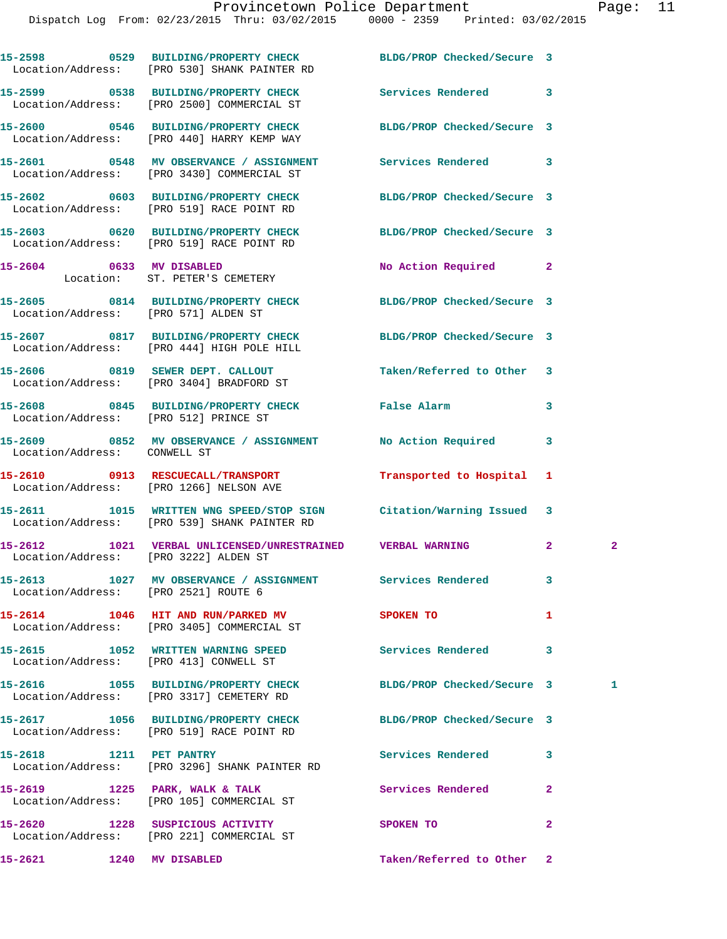|                                       | 15-2598 0529 BUILDING/PROPERTY CHECK BLDG/PROP Checked/Secure 3<br>Location/Address: [PRO 530] SHANK PAINTER RD    |                            |                |              |
|---------------------------------------|--------------------------------------------------------------------------------------------------------------------|----------------------------|----------------|--------------|
|                                       | 15-2599 0538 BUILDING/PROPERTY CHECK Services Rendered<br>Location/Address: [PRO 2500] COMMERCIAL ST               |                            | 3              |              |
|                                       | 15-2600 0546 BUILDING/PROPERTY CHECK<br>Location/Address: [PRO 440] HARRY KEMP WAY                                 | BLDG/PROP Checked/Secure 3 |                |              |
|                                       | 15-2601 0548 MV OBSERVANCE / ASSIGNMENT Services Rendered<br>Location/Address: [PRO 3430] COMMERCIAL ST            |                            | 3              |              |
|                                       | 15-2602 0603 BUILDING/PROPERTY CHECK<br>Location/Address: [PRO 519] RACE POINT RD                                  | BLDG/PROP Checked/Secure 3 |                |              |
|                                       | 15-2603 0620 BUILDING/PROPERTY CHECK<br>Location/Address: [PRO 519] RACE POINT RD                                  | BLDG/PROP Checked/Secure 3 |                |              |
| 15-2604 0633 MV DISABLED              | Location: ST. PETER'S CEMETERY                                                                                     | No Action Required         | $\mathbf{2}$   |              |
| Location/Address: [PRO 571] ALDEN ST  | 15-2605 0814 BUILDING/PROPERTY CHECK BLDG/PROP Checked/Secure 3                                                    |                            |                |              |
|                                       | 15-2607 0817 BUILDING/PROPERTY CHECK BLDG/PROP Checked/Secure 3<br>Location/Address: [PRO 444] HIGH POLE HILL      |                            |                |              |
|                                       | 15-2606 0819 SEWER DEPT. CALLOUT<br>Location/Address: [PRO 3404] BRADFORD ST                                       | Taken/Referred to Other    | 3              |              |
| Location/Address: [PRO 512] PRINCE ST | 15-2608 0845 BUILDING/PROPERTY CHECK False Alarm                                                                   |                            | 3              |              |
| Location/Address: CONWELL ST          | 15-2609 0852 MV OBSERVANCE / ASSIGNMENT No Action Required                                                         |                            | 3              |              |
|                                       | 15-2610 0913 RESCUECALL/TRANSPORT<br>Location/Address: [PRO 1266] NELSON AVE                                       | Transported to Hospital    | 1              |              |
|                                       | 15-2611 1015 WRITTEN WNG SPEED/STOP SIGN Citation/Warning Issued 3<br>Location/Address: [PRO 539] SHANK PAINTER RD |                            |                |              |
| Location/Address: [PRO 3222] ALDEN ST | 15-2612 1021 VERBAL UNLICENSED/UNRESTRAINED VERBAL WARNING                                                         |                            | $\mathbf{2}$   | $\mathbf{2}$ |
| Location/Address: [PRO 2521] ROUTE 6  | 15-2613 1027 MV OBSERVANCE / ASSIGNMENT Services Rendered                                                          |                            | 3              |              |
|                                       | 15-2614 1046 HIT AND RUN/PARKED MV<br>Location/Address: [PRO 3405] COMMERCIAL ST                                   | SPOKEN TO                  | 1              |              |
|                                       | 15-2615 1052 WRITTEN WARNING SPEED<br>Location/Address: [PRO 413] CONWELL ST                                       | Services Rendered          | 3              |              |
|                                       | 15-2616 1055 BUILDING/PROPERTY CHECK BLDG/PROP Checked/Secure 3<br>Location/Address: [PRO 3317] CEMETERY RD        |                            |                | 1            |
|                                       | 15-2617 1056 BUILDING/PROPERTY CHECK<br>Location/Address: [PRO 519] RACE POINT RD                                  | BLDG/PROP Checked/Secure 3 |                |              |
| 15-2618 1211 PET PANTRY               | Location/Address: [PRO 3296] SHANK PAINTER RD                                                                      | Services Rendered          | 3              |              |
|                                       | 15-2619 1225 PARK, WALK & TALK<br>Location/Address: [PRO 105] COMMERCIAL ST                                        | Services Rendered          | $\mathbf{2}$   |              |
|                                       | 15-2620 1228 SUSPICIOUS ACTIVITY<br>Location/Address: [PRO 221] COMMERCIAL ST                                      | SPOKEN TO                  | $\overline{a}$ |              |
| 15-2621 1240 MV DISABLED              |                                                                                                                    | Taken/Referred to Other 2  |                |              |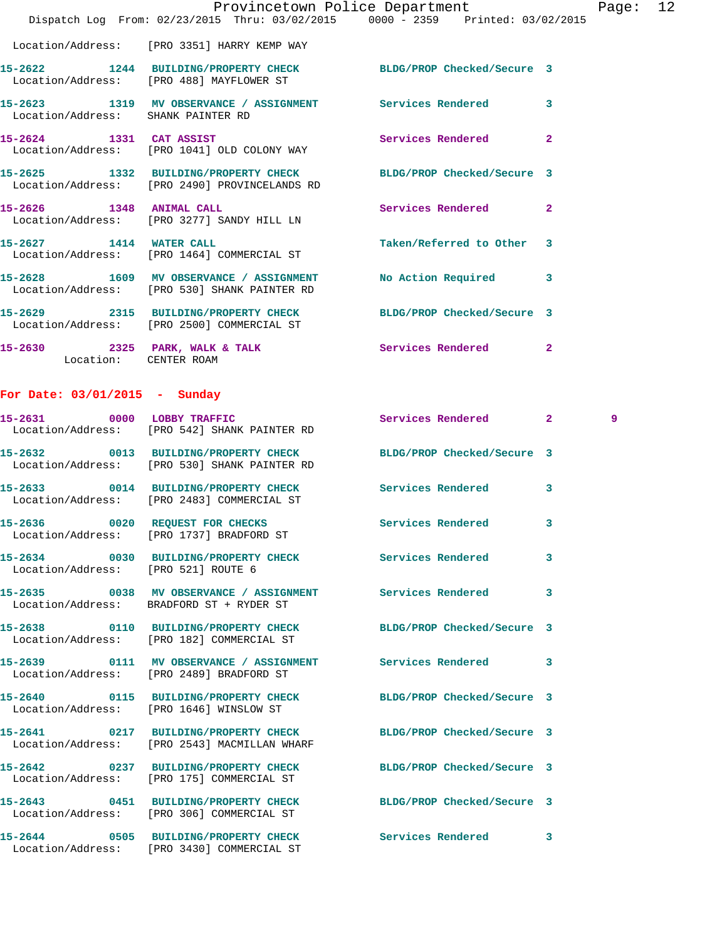|                                    | Dispatch Log From: 02/23/2015 Thru: 03/02/2015 0000 - 2359 Printed: 03/02/2015                                   | Provincetown Police Department | Page: 12       |
|------------------------------------|------------------------------------------------------------------------------------------------------------------|--------------------------------|----------------|
|                                    | Location/Address: [PRO 3351] HARRY KEMP WAY                                                                      |                                |                |
|                                    | 15-2622 1244 BUILDING/PROPERTY CHECK BLDG/PROP Checked/Secure 3<br>Location/Address: [PRO 488] MAYFLOWER ST      |                                |                |
| Location/Address: SHANK PAINTER RD | 15-2623 1319 MV OBSERVANCE / ASSIGNMENT Services Rendered                                                        |                                | 3              |
|                                    | 15-2624 1331 CAT ASSIST<br>Location/Address: [PRO 1041] OLD COLONY WAY                                           | Services Rendered              | $\overline{2}$ |
|                                    | 15-2625 1332 BUILDING/PROPERTY CHECK BLDG/PROP Checked/Secure 3<br>Location/Address: [PRO 2490] PROVINCELANDS RD |                                |                |
|                                    | 15-2626 1348 ANIMAL CALL<br>Location/Address: [PRO 3277] SANDY HILL LN                                           | Services Rendered 2            |                |
|                                    | 15-2627 1414 WATER CALL<br>Location/Address: [PRO 1464] COMMERCIAL ST                                            | Taken/Referred to Other 3      |                |
|                                    | 15-2628 1609 MV OBSERVANCE / ASSIGNMENT No Action Required 3<br>Location/Address: [PRO 530] SHANK PAINTER RD     |                                |                |
|                                    | 15-2629 2315 BUILDING/PROPERTY CHECK BLDG/PROP Checked/Secure 3<br>Location/Address: [PRO 2500] COMMERCIAL ST    |                                |                |
| Location: CENTER ROAM              | 15-2630 2325 PARK, WALK & TALK 2008 Services Rendered                                                            |                                | $\mathbf{2}$   |

## **For Date: 03/01/2015 - Sunday**

|                                     | 15-2631 0000 LOBBY TRAFFIC<br>Location/Address: [PRO 542] SHANK PAINTER RD                                      | Services Rendered 2 3 9 |              |  |
|-------------------------------------|-----------------------------------------------------------------------------------------------------------------|-------------------------|--------------|--|
|                                     | 15-2632 0013 BUILDING/PROPERTY CHECK BLDG/PROP Checked/Secure 3<br>Location/Address: [PRO 530] SHANK PAINTER RD |                         |              |  |
|                                     | 15-2633 0014 BUILDING/PROPERTY CHECK Services Rendered<br>Location/Address: [PRO 2483] COMMERCIAL ST            |                         | 3            |  |
|                                     | 15-2636 0020 REQUEST FOR CHECKS<br>Location/Address: [PRO 1737] BRADFORD ST                                     | Services Rendered       | 3            |  |
| Location/Address: [PRO 521] ROUTE 6 | 15-2634 0030 BUILDING/PROPERTY CHECK Services Rendered                                                          |                         | 3            |  |
|                                     | 15-2635 0038 MV OBSERVANCE / ASSIGNMENT Services Rendered<br>Location/Address: BRADFORD ST + RYDER ST           |                         | 3            |  |
|                                     | 15-2638 0110 BUILDING/PROPERTY CHECK BLDG/PROP Checked/Secure 3<br>Location/Address: [PRO 182] COMMERCIAL ST    |                         |              |  |
|                                     | Location/Address: [PRO 2489] BRADFORD ST                                                                        |                         | 3            |  |
|                                     | 15-2640  0115 BUILDING/PROPERTY CHECK BLDG/PROP Checked/Secure 3<br>Location/Address: [PRO 1646] WINSLOW ST     |                         |              |  |
|                                     | 15-2641 0217 BUILDING/PROPERTY CHECK BLDG/PROP Checked/Secure 3<br>Location/Address: [PRO 2543] MACMILLAN WHARF |                         |              |  |
|                                     | 15-2642 0237 BUILDING/PROPERTY CHECK BLDG/PROP Checked/Secure 3<br>Location/Address: [PRO 175] COMMERCIAL ST    |                         |              |  |
|                                     | 15-2643 0451 BUILDING/PROPERTY CHECK BLDG/PROP Checked/Secure 3<br>Location/Address: [PRO 306] COMMERCIAL ST    |                         |              |  |
|                                     | 15-2644 0505 BUILDING/PROPERTY CHECK Services Rendered<br>Location/Address: [PRO 3430] COMMERCIAL ST            |                         | $\mathbf{3}$ |  |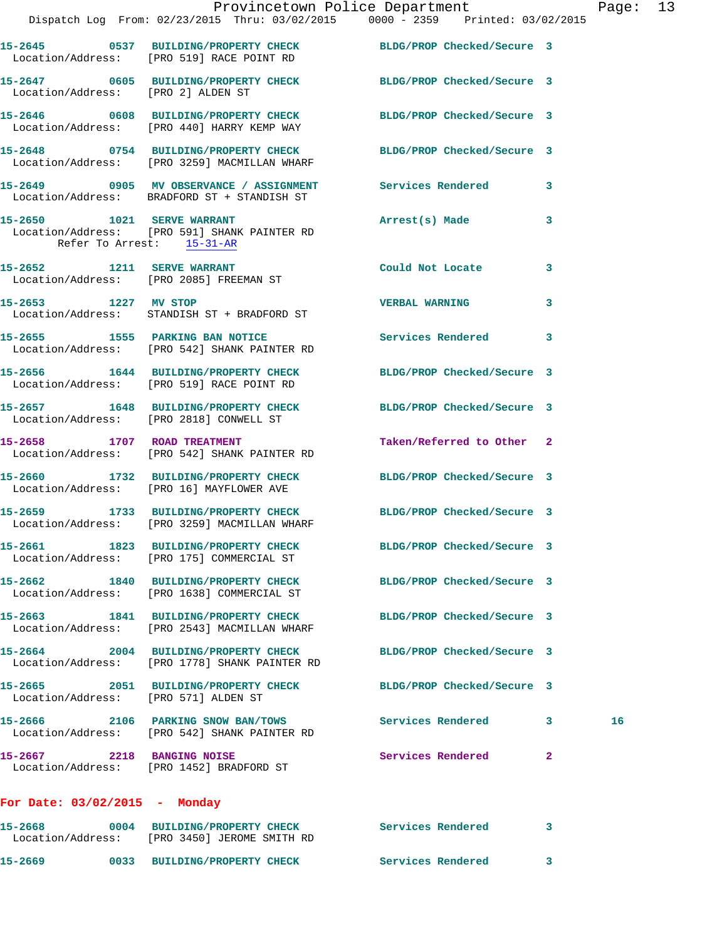|                                      | Dispatch Log From: 02/23/2015 Thru: 03/02/2015 0000 - 2359 Printed: 03/02/2015                                  | Provincetown Police Department |              | Page: 13 |  |
|--------------------------------------|-----------------------------------------------------------------------------------------------------------------|--------------------------------|--------------|----------|--|
|                                      |                                                                                                                 |                                |              |          |  |
|                                      | 15-2645 0537 BUILDING/PROPERTY CHECK BLDG/PROP Checked/Secure 3<br>Location/Address: [PRO 519] RACE POINT RD    |                                |              |          |  |
| Location/Address: [PRO 2] ALDEN ST   | 15-2647 0605 BUILDING/PROPERTY CHECK BLDG/PROP Checked/Secure 3                                                 |                                |              |          |  |
|                                      | 15-2646 0608 BUILDING/PROPERTY CHECK BLDG/PROP Checked/Secure 3<br>Location/Address: [PRO 440] HARRY KEMP WAY   |                                |              |          |  |
|                                      | 15-2648 0754 BUILDING/PROPERTY CHECK BLDG/PROP Checked/Secure 3<br>Location/Address: [PRO 3259] MACMILLAN WHARF |                                |              |          |  |
|                                      | 15-2649 0905 MV OBSERVANCE / ASSIGNMENT Services Rendered 3<br>Location/Address: BRADFORD ST + STANDISH ST      |                                |              |          |  |
| Refer To Arrest: 15-31-AR            | 15-2650 1021 SERVE WARRANT<br>Location/Address: [PRO 591] SHANK PAINTER RD                                      | Arrest(s) Made                 | 3            |          |  |
|                                      | 15-2652 1211 SERVE WARRANT<br>Location/Address: [PRO 2085] FREEMAN ST                                           | Could Not Locate 3             |              |          |  |
|                                      | 15-2653 1227 MV STOP<br>Location/Address: STANDISH ST + BRADFORD ST                                             | <b>VERBAL WARNING</b>          | 3            |          |  |
|                                      | 15-2655 1555 PARKING BAN NOTICE 15-2655 Rendered 3<br>Location/Address: [PRO 542] SHANK PAINTER RD              |                                |              |          |  |
|                                      | 15-2656 1644 BUILDING/PROPERTY CHECK BLDG/PROP Checked/Secure 3<br>Location/Address: [PRO 519] RACE POINT RD    |                                |              |          |  |
|                                      | 15-2657 1648 BUILDING/PROPERTY CHECK BLDG/PROP Checked/Secure 3<br>Location/Address: [PRO 2818] CONWELL ST      |                                |              |          |  |
|                                      | 15-2658 1707 ROAD TREATMENT<br>Location/Address: [PRO 542] SHANK PAINTER RD                                     | Taken/Referred to Other 2      |              |          |  |
|                                      | 15-2660 1732 BUILDING/PROPERTY CHECK BLDG/PROP Checked/Secure 3<br>Location/Address: [PRO 16] MAYFLOWER AVE     |                                |              |          |  |
|                                      | 15-2659 1733 BUILDING/PROPERTY CHECK BLDG/PROP Checked/Secure 3<br>Location/Address: [PRO 3259] MACMILLAN WHARF |                                |              |          |  |
|                                      | 15-2661 1823 BUILDING/PROPERTY CHECK<br>Location/Address: [PRO 175] COMMERCIAL ST                               | BLDG/PROP Checked/Secure 3     |              |          |  |
|                                      | 15-2662 1840 BUILDING/PROPERTY CHECK<br>Location/Address: [PRO 1638] COMMERCIAL ST                              | BLDG/PROP Checked/Secure 3     |              |          |  |
|                                      | 15-2663 1841 BUILDING/PROPERTY CHECK<br>Location/Address: [PRO 2543] MACMILLAN WHARF                            | BLDG/PROP Checked/Secure 3     |              |          |  |
|                                      | 15-2664 2004 BUILDING/PROPERTY CHECK<br>Location/Address: [PRO 1778] SHANK PAINTER RD                           | BLDG/PROP Checked/Secure 3     |              |          |  |
| Location/Address: [PRO 571] ALDEN ST | 15-2665 2051 BUILDING/PROPERTY CHECK                                                                            | BLDG/PROP Checked/Secure 3     |              |          |  |
|                                      | 15-2666 2106 PARKING SNOW BAN/TOWS<br>Location/Address: [PRO 542] SHANK PAINTER RD                              | Services Rendered 3            |              | 16       |  |
| 15-2667 2218 BANGING NOISE           | Location/Address: [PRO 1452] BRADFORD ST                                                                        | Services Rendered              | $\mathbf{2}$ |          |  |
| For Date: $03/02/2015$ - Monday      |                                                                                                                 |                                |              |          |  |
|                                      | 15-2668       0004 RIITLDING/PROPERTY CHECK        Services Rendered      3                                     |                                |              |          |  |

**15-2668 0004 BUILDING/PROPERTY CHECK Services Rendered 3**  Location/Address: [PRO 3450] JEROME SMITH RD **15-2669 0033 BUILDING/PROPERTY CHECK Services Rendered 3**